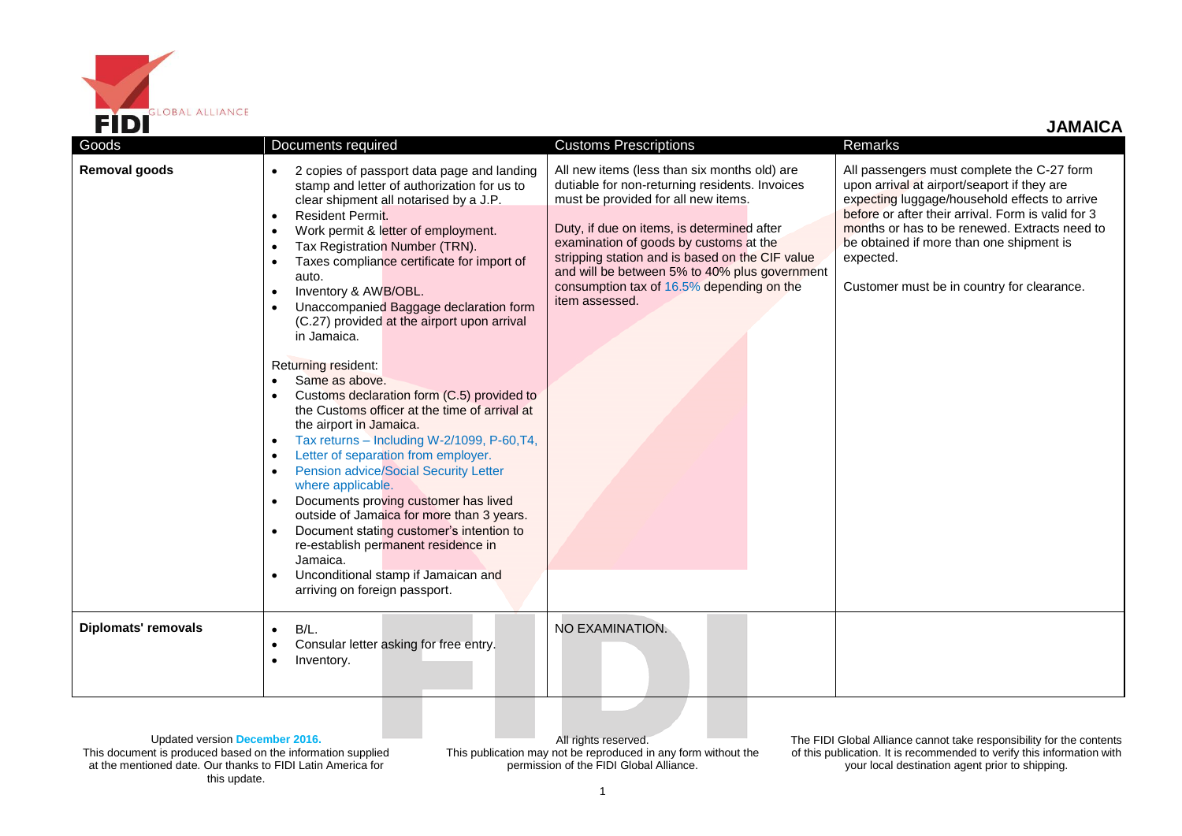

 **JAMAICA**

| Goods                      | Documents required                                                                                                                                                                                                                                                                                                                                                                                                                                                                                                                                                                                                                                                                                                                                                                                                                                                                                                                                                                                                                                                                                                                                               | <b>Customs Prescriptions</b>                                                                                                                                                                                                                                                                                                                                                                     | Remarks                                                                                                                                                                                                                                                                                                                                                  |
|----------------------------|------------------------------------------------------------------------------------------------------------------------------------------------------------------------------------------------------------------------------------------------------------------------------------------------------------------------------------------------------------------------------------------------------------------------------------------------------------------------------------------------------------------------------------------------------------------------------------------------------------------------------------------------------------------------------------------------------------------------------------------------------------------------------------------------------------------------------------------------------------------------------------------------------------------------------------------------------------------------------------------------------------------------------------------------------------------------------------------------------------------------------------------------------------------|--------------------------------------------------------------------------------------------------------------------------------------------------------------------------------------------------------------------------------------------------------------------------------------------------------------------------------------------------------------------------------------------------|----------------------------------------------------------------------------------------------------------------------------------------------------------------------------------------------------------------------------------------------------------------------------------------------------------------------------------------------------------|
| <b>Removal goods</b>       | 2 copies of passport data page and landing<br>$\bullet$<br>stamp and letter of authorization for us to<br>clear shipment all notarised by a J.P.<br>Resident Permit.<br>$\bullet$<br>Work permit & letter of employment.<br>$\bullet$<br>Tax Registration Number (TRN).<br>$\bullet$<br>Taxes compliance certificate for import of<br>auto.<br>Inventory & AWB/OBL.<br>$\bullet$<br>Unaccompanied Baggage declaration form<br>(C.27) provided at the airport upon arrival<br>in Jamaica.<br>Returning resident:<br>Same as above.<br>Customs declaration form (C.5) provided to<br>the Customs officer at the time of arrival at<br>the airport in Jamaica.<br>Tax returns - Including W-2/1099, P-60, T4,<br>$\bullet$<br>Letter of separation from employer.<br>$\bullet$<br><b>Pension advice/Social Security Letter</b><br>$\bullet$<br>where applicable.<br>Documents proving customer has lived<br>$\bullet$<br>outside of Jamaica for more than 3 years.<br>Document stating customer's intention to<br>$\bullet$<br>re-establish permanent residence in<br>Jamaica.<br>Unconditional stamp if Jamaican and<br>$\bullet$<br>arriving on foreign passport. | All new items (less than six months old) are<br>dutiable for non-returning residents. Invoices<br>must be provided for all new items.<br>Duty, if due on items, is determined after<br>examination of goods by customs at the<br>stripping station and is based on the CIF value<br>and will be between 5% to 40% plus government<br>consumption tax of 16.5% depending on the<br>item assessed. | All passengers must complete the C-27 form<br>upon arrival at airport/seaport if they are<br>expecting luggage/household effects to arrive<br>before or after their arrival. Form is valid for 3<br>months or has to be renewed. Extracts need to<br>be obtained if more than one shipment is<br>expected.<br>Customer must be in country for clearance. |
| <b>Diplomats' removals</b> | B/L.<br>Consular letter asking for free entry.<br>Inventory.                                                                                                                                                                                                                                                                                                                                                                                                                                                                                                                                                                                                                                                                                                                                                                                                                                                                                                                                                                                                                                                                                                     | NO EXAMINATION.                                                                                                                                                                                                                                                                                                                                                                                  |                                                                                                                                                                                                                                                                                                                                                          |

Updated version **December 2016.** This document is produced based on the information supplied at the mentioned date. Our thanks to FIDI Latin America for this update.

All rights reserved. This publication may not be reproduced in any form without the permission of the FIDI Global Alliance.

The FIDI Global Alliance cannot take responsibility for the contents of this publication. It is recommended to verify this information with your local destination agent prior to shipping.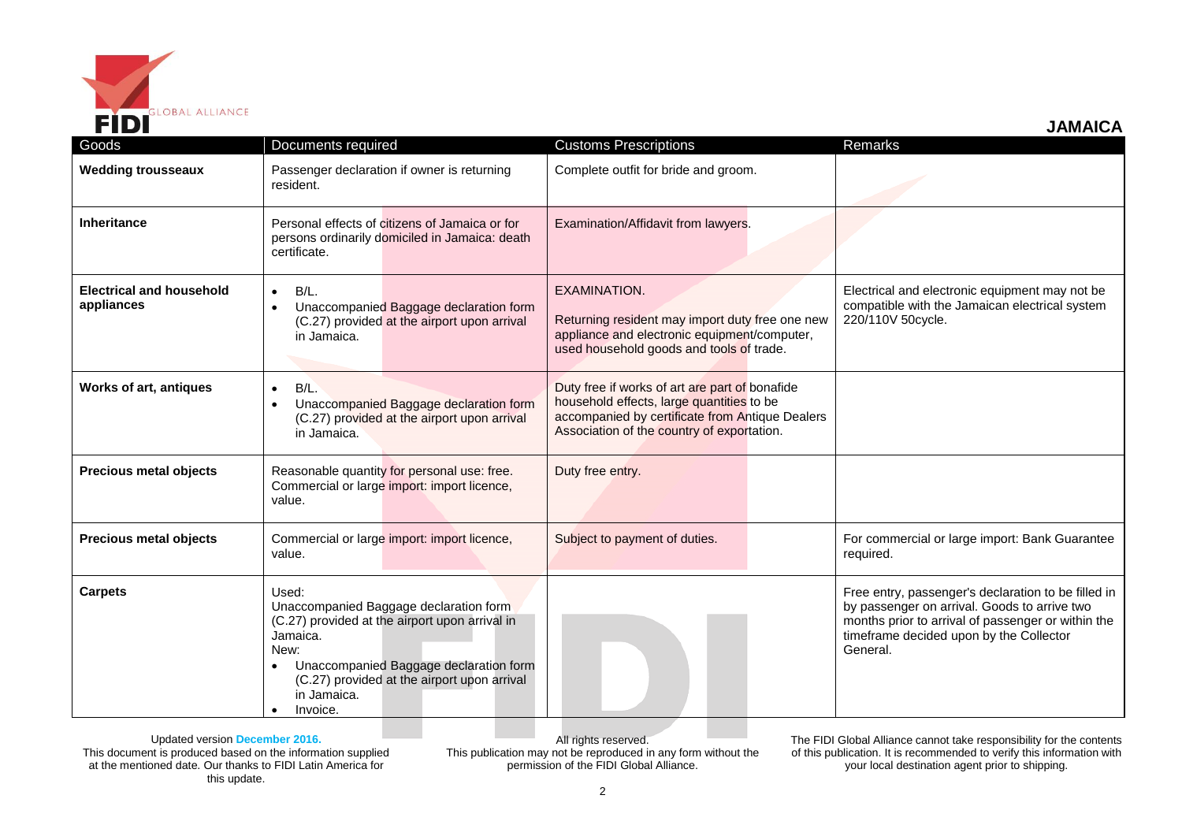

 **JAMAICA**

| Goods                                         | Documents required                                                                                                                                                                                                                                     | <b>Customs Prescriptions</b>                                                                                                                                                                 | Remarks                                                                                                                                                                                                          |
|-----------------------------------------------|--------------------------------------------------------------------------------------------------------------------------------------------------------------------------------------------------------------------------------------------------------|----------------------------------------------------------------------------------------------------------------------------------------------------------------------------------------------|------------------------------------------------------------------------------------------------------------------------------------------------------------------------------------------------------------------|
| <b>Wedding trousseaux</b>                     | Passenger declaration if owner is returning<br>resident.                                                                                                                                                                                               | Complete outfit for bride and groom.                                                                                                                                                         |                                                                                                                                                                                                                  |
| Inheritance                                   | Personal effects of citizens of Jamaica or for<br>persons ordinarily domiciled in Jamaica: death<br>certificate.                                                                                                                                       | Examination/Affidavit from lawyers.                                                                                                                                                          |                                                                                                                                                                                                                  |
| <b>Electrical and household</b><br>appliances | B/L.<br>$\bullet$<br>Unaccompanied Baggage declaration form<br>$\bullet$<br>(C.27) provided at the airport upon arrival<br>in Jamaica.                                                                                                                 | <b>EXAMINATION.</b><br>Returning resident may import duty free one new<br>appliance and electronic equipment/computer,<br>used household goods and tools of trade.                           | Electrical and electronic equipment may not be<br>compatible with the Jamaican electrical system<br>220/110V 50cycle.                                                                                            |
| Works of art, antiques                        | $B/L$ .<br>$\bullet$<br>Unaccompanied Baggage declaration form<br>$\bullet$<br>(C.27) provided at the airport upon arrival<br>in Jamaica.                                                                                                              | Duty free if works of art are part of bonafide<br>household effects, large quantities to be<br>accompanied by certificate from Antique Dealers<br>Association of the country of exportation. |                                                                                                                                                                                                                  |
| <b>Precious metal objects</b>                 | Reasonable quantity for personal use: free.<br>Commercial or large import: import licence,<br>value.                                                                                                                                                   | Duty free entry.                                                                                                                                                                             |                                                                                                                                                                                                                  |
| <b>Precious metal objects</b>                 | Commercial or large import: import licence,<br>value.                                                                                                                                                                                                  | Subject to payment of duties.                                                                                                                                                                | For commercial or large import: Bank Guarantee<br>required.                                                                                                                                                      |
| <b>Carpets</b>                                | Used:<br>Unaccompanied Baggage declaration form<br>(C.27) provided at the airport upon arrival in<br>Jamaica.<br>New:<br>Unaccompanied Baggage declaration form<br>(C.27) provided at the airport upon arrival<br>in Jamaica.<br>Invoice.<br>$\bullet$ |                                                                                                                                                                                              | Free entry, passenger's declaration to be filled in<br>by passenger on arrival. Goods to arrive two<br>months prior to arrival of passenger or within the<br>timeframe decided upon by the Collector<br>General. |

Updated version **December 2016.** This document is produced based on the information supplied at the mentioned date. Our thanks to FIDI Latin America for this update.

All rights reserved. This publication may not be reproduced in any form without the permission of the FIDI Global Alliance.

The FIDI Global Alliance cannot take responsibility for the contents of this publication. It is recommended to verify this information with your local destination agent prior to shipping.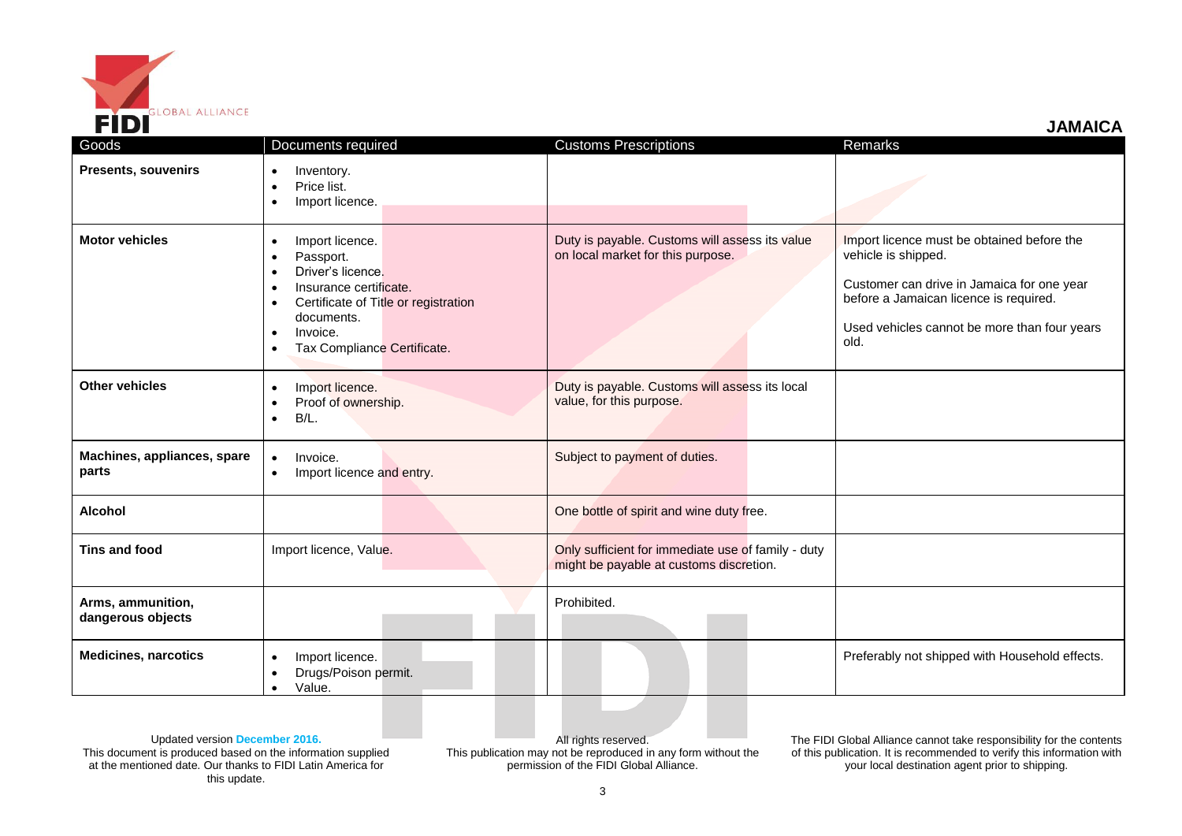

 **JAMAICA**

| Goods                                  | Documents required                                                                                                                                                                                                                                                      | <b>Customs Prescriptions</b>                                                                  | Remarks                                                                                                                                                                                                           |
|----------------------------------------|-------------------------------------------------------------------------------------------------------------------------------------------------------------------------------------------------------------------------------------------------------------------------|-----------------------------------------------------------------------------------------------|-------------------------------------------------------------------------------------------------------------------------------------------------------------------------------------------------------------------|
| <b>Presents, souvenirs</b>             | Inventory.<br>$\bullet$<br>Price list.<br>٠<br>Import licence.<br>$\bullet$                                                                                                                                                                                             |                                                                                               |                                                                                                                                                                                                                   |
| <b>Motor vehicles</b>                  | Import licence.<br>$\bullet$<br>Passport.<br>$\bullet$<br>Driver's licence.<br>$\bullet$<br>Insurance certificate.<br>$\bullet$<br>Certificate of Title or registration<br>$\bullet$<br>documents.<br>Invoice.<br>$\bullet$<br>Tax Compliance Certificate.<br>$\bullet$ | Duty is payable. Customs will assess its value<br>on local market for this purpose.           | Import licence must be obtained before the<br>vehicle is shipped.<br>Customer can drive in Jamaica for one year<br>before a Jamaican licence is required.<br>Used vehicles cannot be more than four years<br>old. |
| <b>Other vehicles</b>                  | Import licence.<br>$\bullet$<br>Proof of ownership.<br>$\bullet$<br>$B/L$ .<br>$\bullet$                                                                                                                                                                                | Duty is payable. Customs will assess its local<br>value, for this purpose.                    |                                                                                                                                                                                                                   |
| Machines, appliances, spare<br>parts   | Invoice.<br>$\bullet$<br>Import licence and entry.<br>$\bullet$                                                                                                                                                                                                         | Subject to payment of duties.                                                                 |                                                                                                                                                                                                                   |
| <b>Alcohol</b>                         |                                                                                                                                                                                                                                                                         | One bottle of spirit and wine duty free.                                                      |                                                                                                                                                                                                                   |
| Tins and food                          | Import licence, Value.                                                                                                                                                                                                                                                  | Only sufficient for immediate use of family - duty<br>might be payable at customs discretion. |                                                                                                                                                                                                                   |
| Arms, ammunition,<br>dangerous objects |                                                                                                                                                                                                                                                                         | Prohibited.                                                                                   |                                                                                                                                                                                                                   |
| <b>Medicines, narcotics</b>            | Import licence.<br>$\bullet$<br>Drugs/Poison permit.<br>$\bullet$<br>Value.<br>$\bullet$                                                                                                                                                                                |                                                                                               | Preferably not shipped with Household effects.                                                                                                                                                                    |

Updated version **December 2016.** This document is produced based on the information supplied at the mentioned date. Our thanks to FIDI Latin America for this update.

All rights reserved. This publication may not be reproduced in any form without the permission of the FIDI Global Alliance.

The FIDI Global Alliance cannot take responsibility for the contents of this publication. It is recommended to verify this information with your local destination agent prior to shipping.